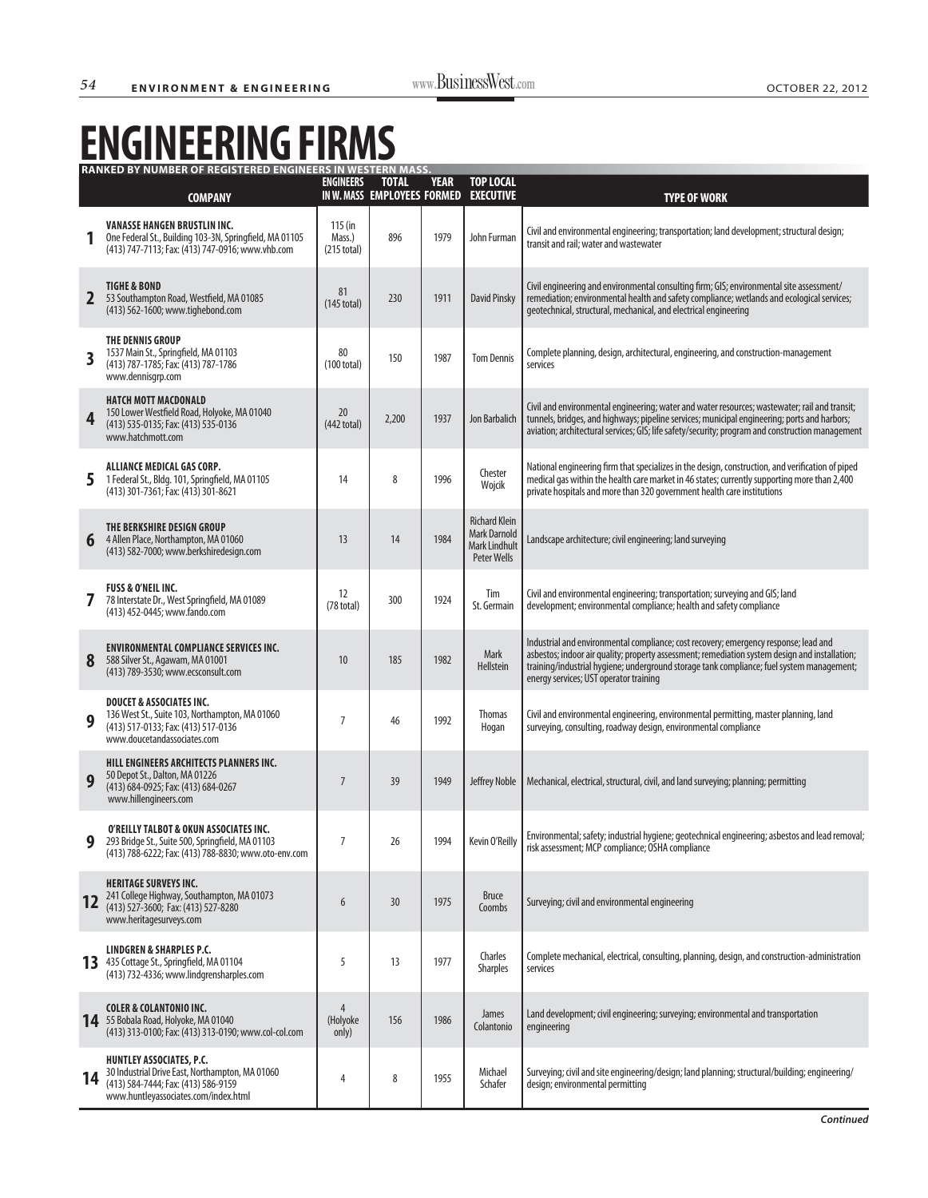## **ENGINEERING FIRMS**

|                         | <b>RANKED BY NUMBER OF REGISTERED ENGINEERS IN WESTERN MASS.</b>                                                                                                  |                                              |                                             |             |                                                                                    |                                                                                                                                                                                                                                                                                                                               |
|-------------------------|-------------------------------------------------------------------------------------------------------------------------------------------------------------------|----------------------------------------------|---------------------------------------------|-------------|------------------------------------------------------------------------------------|-------------------------------------------------------------------------------------------------------------------------------------------------------------------------------------------------------------------------------------------------------------------------------------------------------------------------------|
|                         | <b>COMPANY</b>                                                                                                                                                    | <b>ENGINEERS</b>                             | <b>TOTAL</b><br>IN W. MASS EMPLOYEES FORMED | <b>YEAR</b> | <b>TOP LOCAL</b><br><b>EXECUTIVE</b>                                               | <b>TYPE OF WORK</b>                                                                                                                                                                                                                                                                                                           |
|                         | <b>VANASSE HANGEN BRUSTLIN INC.</b><br>One Federal St., Building 103-3N, Springfield, MA 01105<br>(413) 747-7113; Fax: (413) 747-0916; www.vhb.com                | $115$ (in<br>Mass.)<br>$(215 \text{ total})$ | 896                                         | 1979        | John Furman                                                                        | Civil and environmental engineering; transportation; land development; structural design;<br>transit and rail; water and wastewater                                                                                                                                                                                           |
| $\overline{\mathbf{2}}$ | <b>TIGHE &amp; BOND</b><br>53 Southampton Road, Westfield, MA 01085<br>(413) 562-1600; www.tighebond.com                                                          | 81<br>$(145 \text{ total})$                  | 230                                         | 1911        | <b>David Pinsky</b>                                                                | Civil engineering and environmental consulting firm; GIS; environmental site assessment/<br>remediation; environmental health and safety compliance; wetlands and ecological services;<br>geotechnical, structural, mechanical, and electrical engineering                                                                    |
| 3                       | THE DENNIS GROUP<br>1537 Main St., Springfield, MA 01103<br>(413) 787-1785; Fax: (413) 787-1786<br>www.dennisgrp.com                                              | 80<br>(100 total)                            | 150                                         | 1987        | <b>Tom Dennis</b>                                                                  | Complete planning, design, architectural, engineering, and construction-management<br>services                                                                                                                                                                                                                                |
| 4                       | <b>HATCH MOTT MACDONALD</b><br>150 Lower Westfield Road, Holyoke, MA 01040<br>(413) 535-0135; Fax: (413) 535-0136<br>www.hatchmott.com                            | 20<br>(442 total)                            | 2,200                                       | 1937        | Jon Barbalich                                                                      | Civil and environmental engineering; water and water resources; wastewater; rail and transit;<br>tunnels, bridges, and highways; pipeline services; municipal engineering; ports and harbors;<br>aviation; architectural services; GIS; life safety/security; program and construction management                             |
| 5                       | <b>ALLIANCE MEDICAL GAS CORP.</b><br>1 Federal St., Bldg. 101, Springfield, MA 01105<br>(413) 301-7361; Fax: (413) 301-8621                                       | 14                                           | 8                                           | 1996        | Chester<br>Wojcik                                                                  | National engineering firm that specializes in the design, construction, and verification of piped<br>medical gas within the health care market in 46 states; currently supporting more than 2,400<br>private hospitals and more than 320 government health care institutions                                                  |
| 6                       | THE BERKSHIRE DESIGN GROUP<br>4 Allen Place, Northampton, MA 01060<br>(413) 582-7000; www.berkshiredesign.com                                                     | 13                                           | 14                                          | 1984        | <b>Richard Klein</b><br><b>Mark Darnold</b><br><b>Mark Lindhult</b><br>Peter Wells | Landscape architecture; civil engineering; land surveying                                                                                                                                                                                                                                                                     |
| 7                       | <b>FUSS &amp; O'NEIL INC.</b><br>78 Interstate Dr., West Springfield, MA 01089<br>(413) 452-0445; www.fando.com                                                   | 12<br>$(78 \text{ total})$                   | 300                                         | 1924        | Tim<br>St. Germain                                                                 | Civil and environmental engineering; transportation; surveying and GIS; land<br>development; environmental compliance; health and safety compliance                                                                                                                                                                           |
| 8                       | <b>ENVIRONMENTAL COMPLIANCE SERVICES INC.</b><br>588 Silver St., Agawam, MA 01001<br>(413) 789-3530; www.ecsconsult.com                                           | 10                                           | 185                                         | 1982        | Mark<br>Hellstein                                                                  | Industrial and environmental compliance; cost recovery; emergency response; lead and<br>asbestos; indoor air quality; property assessment; remediation system design and installation;<br>training/industrial hygiene; underground storage tank compliance; fuel system management;<br>energy services; UST operator training |
| 9                       | <b>DOUCET &amp; ASSOCIATES INC.</b><br>136 West St., Suite 103, Northampton, MA 01060<br>(413) 517-0133; Fax: (413) 517-0136<br>www.doucetandassociates.com       | 7                                            | 46                                          | 1992        | <b>Thomas</b><br>Hogan                                                             | Civil and environmental engineering, environmental permitting, master planning, land<br>surveying, consulting, roadway design, environmental compliance                                                                                                                                                                       |
| 9                       | HILL ENGINEERS ARCHITECTS PLANNERS INC.<br>50 Depot St., Dalton, MA 01226<br>(413) 684-0925; Fax: (413) 684-0267<br>www.hillengineers.com                         | $\overline{7}$                               | 39                                          | 1949        | Jeffrey Noble                                                                      | Mechanical, electrical, structural, civil, and land surveying; planning; permitting                                                                                                                                                                                                                                           |
| 9                       | O'REILLY TALBOT & OKUN ASSOCIATES INC.<br>293 Bridge St., Suite 500, Springfield, MA 01103<br>(413) 788-6222; Fax: (413) 788-8830; www.oto-env.com                | $\overline{7}$                               | 26                                          | 1994        | Kevin O'Reilly                                                                     | Environmental; safety; industrial hygiene; geotechnical engineering; asbestos and lead removal;<br>risk assessment; MCP compliance; OSHA compliance                                                                                                                                                                           |
| 12                      | <b>HERITAGE SURVEYS INC.</b><br>241 College Highway, Southampton, MA 01073<br>(413) 527-3600; Fax: (413) 527-8280<br>www.heritagesurveys.com                      | 6                                            | 30                                          | 1975        | <b>Bruce</b><br>Coombs                                                             | Surveying; civil and environmental engineering                                                                                                                                                                                                                                                                                |
| 13                      | <b>LINDGREN &amp; SHARPLES P.C.</b><br>435 Cottage St., Springfield, MA 01104<br>(413) 732-4336; www.lindgrensharples.com                                         | 5                                            | 13                                          | 1977        | Charles<br><b>Sharples</b>                                                         | Complete mechanical, electrical, consulting, planning, design, and construction-administration<br>services                                                                                                                                                                                                                    |
| 14                      | <b>COLER &amp; COLANTONIO INC.</b><br>55 Bobala Road, Holyoke, MA 01040<br>(413) 313-0100; Fax: (413) 313-0190; www.col-col.com                                   | 4<br>(Holyoke<br>only)                       | 156                                         | 1986        | <b>James</b><br>Colantonio                                                         | Land development; civil engineering; surveying; environmental and transportation<br>engineering                                                                                                                                                                                                                               |
| 14                      | <b>HUNTLEY ASSOCIATES, P.C.</b><br>30 Industrial Drive East, Northampton, MA 01060<br>(413) 584-7444; Fax: (413) 586-9159<br>www.huntleyassociates.com/index.html | 4                                            | 8                                           | 1955        | Michael<br>Schafer                                                                 | Surveying; civil and site engineering/design; land planning; structural/building; engineering/<br>design; environmental permitting                                                                                                                                                                                            |